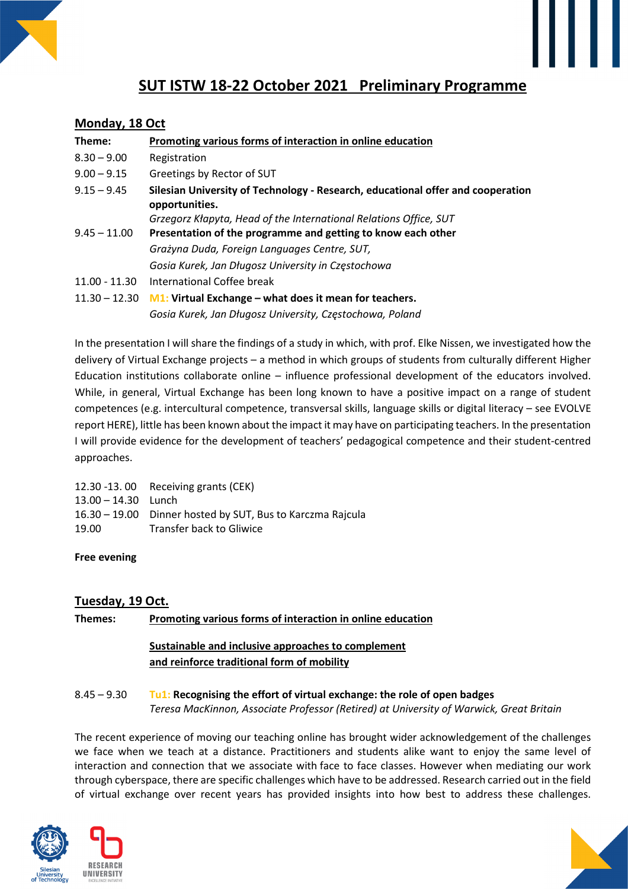

# **SUT ISTW 18-22 October 2021 Preliminary Programme**

### **Monday, 18 Oct**

| Theme:          | Promoting various forms of interaction in online education                                        |
|-----------------|---------------------------------------------------------------------------------------------------|
| $8.30 - 9.00$   | Registration                                                                                      |
| $9.00 - 9.15$   | Greetings by Rector of SUT                                                                        |
| $9.15 - 9.45$   | Silesian University of Technology - Research, educational offer and cooperation<br>opportunities. |
|                 | Grzegorz Kłapyta, Head of the International Relations Office, SUT                                 |
| $9.45 - 11.00$  | Presentation of the programme and getting to know each other                                      |
|                 | Grażyna Duda, Foreign Languages Centre, SUT,                                                      |
|                 | Gosia Kurek, Jan Długosz University in Częstochowa                                                |
| $11.00 - 11.30$ | International Coffee break                                                                        |
| $11.30 - 12.30$ | <b>M1:</b> Virtual Exchange – what does it mean for teachers.                                     |
|                 | Gosia Kurek, Jan Długosz University, Częstochowa, Poland                                          |

In the presentation I will share the findings of a study in which, with prof. Elke Nissen, we investigated how the delivery of Virtual Exchange projects – a method in which groups of students from culturally different Higher Education institutions collaborate online – influence professional development of the educators involved. While, in general, Virtual Exchange has been long known to have a positive impact on a range of student competences (e.g. intercultural competence, transversal skills, language skills or digital literacy – see EVOLVE report HERE), little has been known about the impact it may have on participating teachers. In the presentation I will provide evidence for the development of teachers' pedagogical competence and their student-centred approaches.

| 12.30 -13.00 Receiving grants (CEK)                        |
|------------------------------------------------------------|
| $13.00 - 14.30$ Lunch                                      |
| 16.30 – 19.00 Dinner hosted by SUT, Bus to Karczma Rajcula |
| Transfer back to Gliwice                                   |
|                                                            |

**Free evening** 

# **Tuesday, 19 Oct.**

**Themes: Promoting various forms of interaction in online education** 

# **Sustainable and inclusive approaches to complement and reinforce traditional form of mobility**

#### 8.45 – 9.30 **Tu1: Recognising the effort of virtual exchange: the role of open badges**  *Teresa MacKinnon, Associate Professor (Retired) at University of Warwick, Great Britain*

The recent experience of moving our teaching online has brought wider acknowledgement of the challenges we face when we teach at a distance. Practitioners and students alike want to enjoy the same level of interaction and connection that we associate with face to face classes. However when mediating our work through cyberspace, there are specific challenges which have to be addressed. Research carried out in the field of virtual exchange over recent years has provided insights into how best to address these challenges.





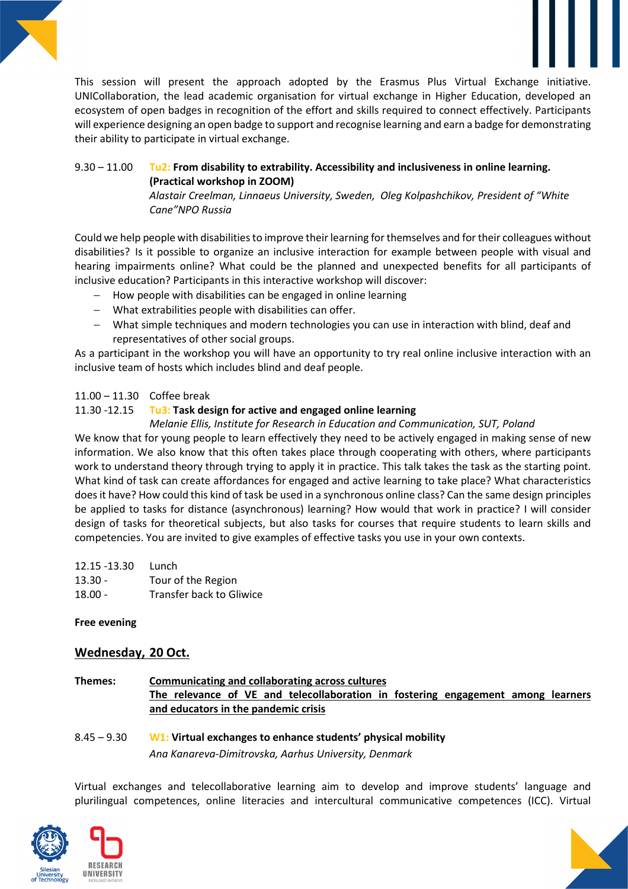

This session will present the approach adopted by the Erasmus Plus Virtual Exchange initiative. UNICollaboration, the lead academic organisation for virtual exchange in Higher Education, developed an ecosystem of open badges in recognition of the effort and skills required to connect effectively. Participants will experience designing an open badge to support and recognise learning and earn a badge for demonstrating their ability to participate in virtual exchange.

# 9.30 – 11.00 **Tu2: From disability to extrability. Accessibility and inclusiveness in online learning. (Practical workshop in ZOOM)**

*Alastair Creelman, Linnaeus University, Sweden, Oleg Kolpashchikov, President of "White Cane"NPO Russia* 

Could we help people with disabilities to improve their learning for themselves and for their colleagues without disabilities? Is it possible to organize an inclusive interaction for example between people with visual and hearing impairments online? What could be the planned and unexpected benefits for all participants of inclusive education? Participants in this interactive workshop will discover:

- − How people with disabilities can be engaged in online learning
- − What extrabilities people with disabilities can offer.
- − What simple techniques and modern technologies you can use in interaction with blind, deaf and representatives of other social groups.

As a participant in the workshop you will have an opportunity to try real online inclusive interaction with an inclusive team of hosts which includes blind and deaf people.

# 11.00 – 11.30 Coffee break

# 11.30 -12.15 **Tu3: Task design for active and engaged online learning**

*Melanie Ellis, Institute for Research in Education and Communication, SUT, Poland* 

We know that for young people to learn effectively they need to be actively engaged in making sense of new information. We also know that this often takes place through cooperating with others, where participants work to understand theory through trying to apply it in practice. This talk takes the task as the starting point. What kind of task can create affordances for engaged and active learning to take place? What characteristics does it have? How could this kind of task be used in a synchronous online class? Can the same design principles be applied to tasks for distance (asynchronous) learning? How would that work in practice? I will consider design of tasks for theoretical subjects, but also tasks for courses that require students to learn skills and competencies. You are invited to give examples of effective tasks you use in your own contexts.

| 12.15 -13.30 | Lunch                           |
|--------------|---------------------------------|
| $13.30 -$    | Tour of the Region              |
| $18.00 -$    | <b>Transfer back to Gliwice</b> |

#### **Free evening**

# **Wednesday, 20 Oct.**

**Themes: Communicating and collaborating across cultures The relevance of VE and telecollaboration in fostering engagement among learners and educators in the pandemic crisis** 

8.45 – 9.30 **W1: Virtual exchanges to enhance students' physical mobility**  *Ana Kanareva-Dimitrovska, Aarhus University, Denmark* 

Virtual exchanges and telecollaborative learning aim to develop and improve students' language and plurilingual competences, online literacies and intercultural communicative competences (ICC). Virtual





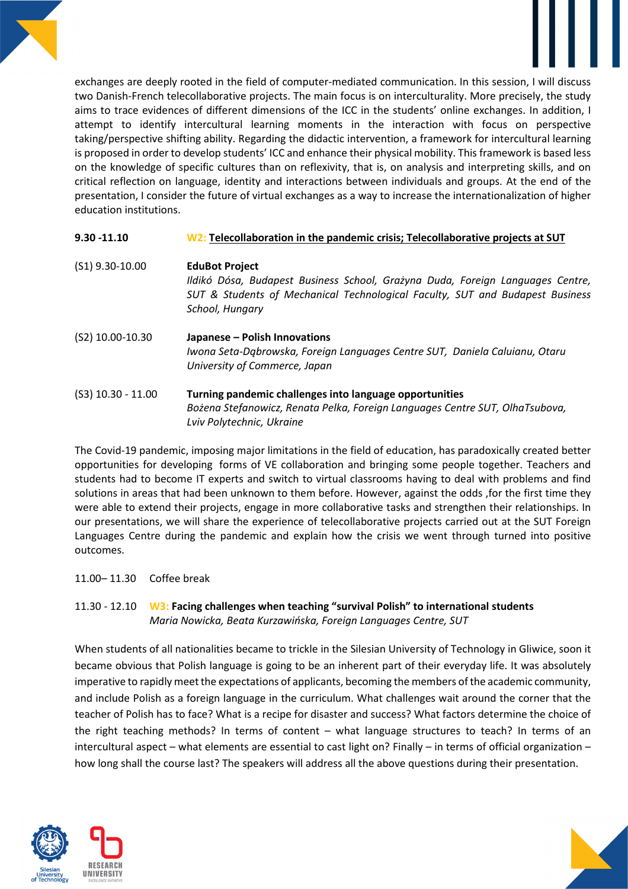

exchanges are deeply rooted in the field of computer-mediated communication. In this session, I will discuss two Danish-French telecollaborative projects. The main focus is on interculturality. More precisely, the study aims to trace evidences of different dimensions of the ICC in the students' online exchanges. In addition, I attempt to identify intercultural learning moments in the interaction with focus on perspective taking/perspective shifting ability. Regarding the didactic intervention, a framework for intercultural learning is proposed in order to develop students' ICC and enhance their physical mobility. This framework is based less on the knowledge of specific cultures than on reflexivity, that is, on analysis and interpreting skills, and on critical reflection on language, identity and interactions between individuals and groups. At the end of the presentation, I consider the future of virtual exchanges as a way to increase the internationalization of higher education institutions.

| 9.30 -11.10          | W2: Telecollaboration in the pandemic crisis; Telecollaborative projects at SUT                                                                                                                             |
|----------------------|-------------------------------------------------------------------------------------------------------------------------------------------------------------------------------------------------------------|
| $(S1)$ 9.30-10.00    | <b>EduBot Project</b><br>Ildikó Dósa, Budapest Business School, Grażyna Duda, Foreign Languages Centre,<br>SUT & Students of Mechanical Technological Faculty, SUT and Budapest Business<br>School, Hungary |
| (S2) 10.00-10.30     | Japanese - Polish Innovations<br>Iwona Seta-Dgbrowska, Foreign Languages Centre SUT, Daniela Caluianu, Otaru<br>University of Commerce, Japan                                                               |
| $(S3)$ 10.30 - 11.00 | Turning pandemic challenges into language opportunities<br>Bożena Stefanowicz, Renata Pelka, Foreign Languages Centre SUT, OlhaTsubova,<br>Lviv Polytechnic, Ukraine                                        |

The Covid-19 pandemic, imposing major limitations in the field of education, has paradoxically created better opportunities for developing forms of VE collaboration and bringing some people together. Teachers and students had to become IT experts and switch to virtual classrooms having to deal with problems and find solutions in areas that had been unknown to them before. However, against the odds ,for the first time they were able to extend their projects, engage in more collaborative tasks and strengthen their relationships. In our presentations, we will share the experience of telecollaborative projects carried out at the SUT Foreign Languages Centre during the pandemic and explain how the crisis we went through turned into positive outcomes.

11.00– 11.30 Coffee break

# 11.30 - 12.10 **W3: Facing challenges when teaching "survival Polish" to international students** *Maria Nowicka, Beata Kurzawińska, Foreign Languages Centre, SUT*

When students of all nationalities became to trickle in the Silesian University of Technology in Gliwice, soon it became obvious that Polish language is going to be an inherent part of their everyday life. It was absolutely imperative to rapidly meet the expectations of applicants, becoming the members of the academic community, and include Polish as a foreign language in the curriculum. What challenges wait around the corner that the teacher of Polish has to face? What is a recipe for disaster and success? What factors determine the choice of the right teaching methods? In terms of content – what language structures to teach? In terms of an intercultural aspect – what elements are essential to cast light on? Finally – in terms of official organization – how long shall the course last? The speakers will address all the above questions during their presentation.



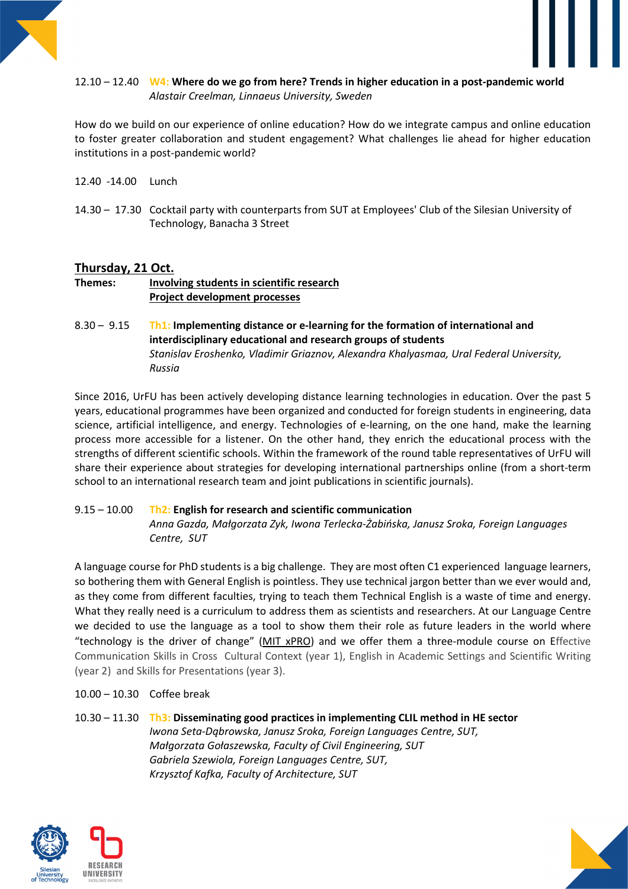#### 12.10 – 12.40 **W4: Where do we go from here? Trends in higher education in a post-pandemic world**  *Alastair Creelman, Linnaeus University, Sweden*

How do we build on our experience of online education? How do we integrate campus and online education to foster greater collaboration and student engagement? What challenges lie ahead for higher education institutions in a post-pandemic world?

- 12.40 -14.00 Lunch
- 14.30 17.30 Cocktail party with counterparts from SUT at Employees' Club of the Silesian University of Technology, Banacha 3 Street

# **Thursday, 21 Oct.**

# **Themes: Involving students in scientific research Project development processes**

8.30 – 9.15 **Th1: Implementing distance or e-learning for the formation of international and interdisciplinary educational and research groups of students**  *Stanislav Eroshenko, Vladimir Griaznov, Alexandra Khalyasmaa, Ural Federal University, Russia* 

Since 2016, UrFU has been actively developing distance learning technologies in education. Over the past 5 years, educational programmes have been organized and conducted for foreign students in engineering, data science, artificial intelligence, and energy. Technologies of e-learning, on the one hand, make the learning process more accessible for a listener. On the other hand, they enrich the educational process with the strengths of different scientific schools. Within the framework of the round table representatives of UrFU will share their experience about strategies for developing international partnerships online (from a short-term school to an international research team and joint publications in scientific journals).

#### 9.15 – 10.00 **Th2: English for research and scientific communication**  *Anna Gazda, Małgorzata Zyk, Iwona Terlecka-Żabińska, Janusz Sroka, Foreign Languages Centre, SUT*

A language course for PhD students is a big challenge. They are most often C1 experienced language learners, so bothering them with General English is pointless. They use technical jargon better than we ever would and, as they come from different faculties, trying to teach them Technical English is a waste of time and energy. What they really need is a curriculum to address them as scientists and researchers. At our Language Centre we decided to use the language as a tool to show them their role as future leaders in the world where "technology is the driver of change" (MIT xPRO) and we offer them a three-module course on Effective Communication Skills in Cross Cultural Context (year 1), English in Academic Settings and Scientific Writing (year 2) and Skills for Presentations (year 3).

#### 10.00 – 10.30 Coffee break

# 10.30 – 11.30 **Th3: Disseminating good practices in implementing CLIL method in HE sector**

*Iwona Seta-Dąbrowska, Janusz Sroka, Foreign Languages Centre, SUT, Małgorzata Gołaszewska, Faculty of Civil Engineering, SUT Gabriela Szewiola, Foreign Languages Centre, SUT, Krzysztof Kafka, Faculty of Architecture, SUT* 



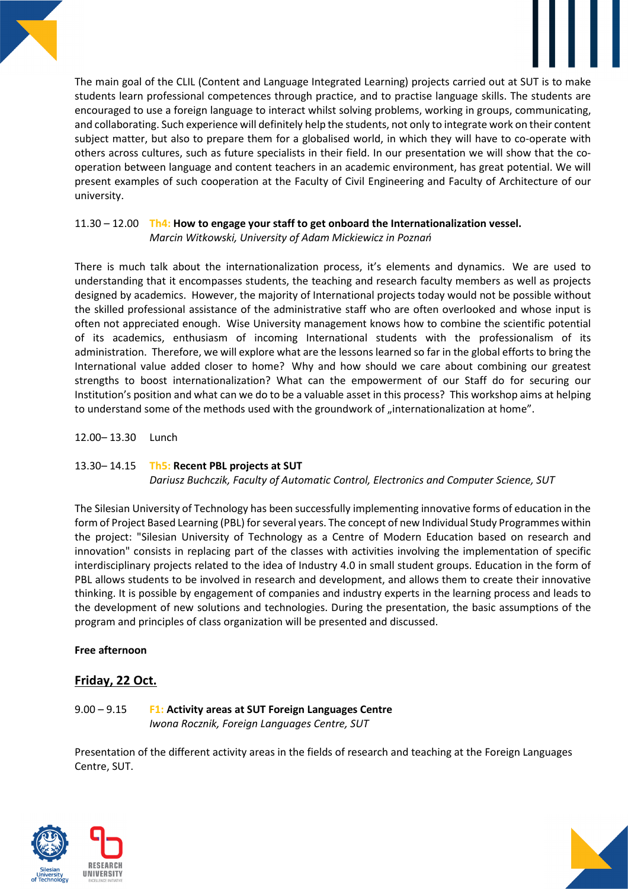The main goal of the CLIL (Content and Language Integrated Learning) projects carried out at SUT is to make students learn professional competences through practice, and to practise language skills. The students are encouraged to use a foreign language to interact whilst solving problems, working in groups, communicating, and collaborating. Such experience will definitely help the students, not only to integrate work on their content subject matter, but also to prepare them for a globalised world, in which they will have to co-operate with others across cultures, such as future specialists in their field. In our presentation we will show that the cooperation between language and content teachers in an academic environment, has great potential. We will present examples of such cooperation at the Faculty of Civil Engineering and Faculty of Architecture of our university.

#### 11.30 – 12.00 **Th4: How to engage your staff to get onboard the Internationalization vessel.** *Marcin Witkowski, University of Adam Mickiewicz in Poznań*

There is much talk about the internationalization process, it's elements and dynamics. We are used to understanding that it encompasses students, the teaching and research faculty members as well as projects designed by academics. However, the majority of International projects today would not be possible without the skilled professional assistance of the administrative staff who are often overlooked and whose input is often not appreciated enough. Wise University management knows how to combine the scientific potential of its academics, enthusiasm of incoming International students with the professionalism of its administration. Therefore, we will explore what are the lessons learned so far in the global efforts to bring the International value added closer to home? Why and how should we care about combining our greatest strengths to boost internationalization? What can the empowerment of our Staff do for securing our Institution's position and what can we do to be a valuable asset in this process? This workshop aims at helping to understand some of the methods used with the groundwork of "internationalization at home".

12.00– 13.30 Lunch

#### 13.30– 14.15 **Th5: Recent PBL projects at SUT**

*Dariusz Buchczik, Faculty of Automatic Control, Electronics and Computer Science, SUT* 

The Silesian University of Technology has been successfully implementing innovative forms of education in the form of Project Based Learning (PBL) for several years. The concept of new Individual Study Programmes within the project: "Silesian University of Technology as a Centre of Modern Education based on research and innovation" consists in replacing part of the classes with activities involving the implementation of specific interdisciplinary projects related to the idea of Industry 4.0 in small student groups. Education in the form of PBL allows students to be involved in research and development, and allows them to create their innovative thinking. It is possible by engagement of companies and industry experts in the learning process and leads to the development of new solutions and technologies. During the presentation, the basic assumptions of the program and principles of class organization will be presented and discussed.

#### **Free afternoon**

# **Friday, 22 Oct.**

#### 9.00 – 9.15 **F1: Activity areas at SUT Foreign Languages Centre**  *Iwona Rocznik, Foreign Languages Centre, SUT*

Presentation of the different activity areas in the fields of research and teaching at the Foreign Languages Centre, SUT.